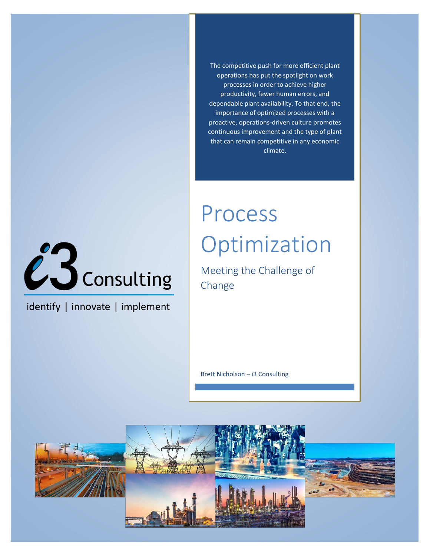The competitive push for more efficient plant operations has put the spotlight on work processes in order to achieve higher productivity, fewer human errors, and dependable plant availability. To that end, the importance of optimized processes with a proactive, operations-driven culture promotes continuous improvement and the type of plant that can remain competitive in any economic climate.



identify | innovate | implement

# Process Optimization

Meeting the Challenge of Change

Brett Nicholson – i3 Consulting

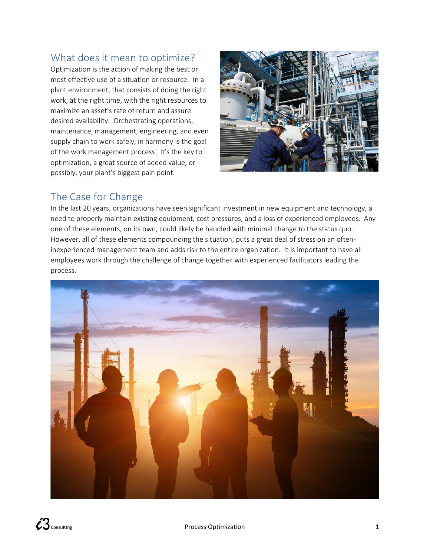## What does it mean to optimize?

Optimization is the action of making the best or most effective use of a situation or resource. In a plant environment, that consists of doing the right work, at the right time, with the right resources to maximize an asset's rate of return and assure desired availability. Orchestrating operations, maintenance, management, engineering, and even supply chain to work safely, in harmony is the goal of the work management process. It's the key to optimization, a great source of added value, or possibly, your plant's biggest pain point.



# The Case for Change

In the last 20 years, organizations have seen significant investment in new equipment and technology, a need to properly maintain existing equipment, cost pressures, and a loss of experienced employees. Any one of these elements, on its own, could likely be handled with minimal change to the status quo. However, all of these elements compounding the situation, puts a great deal of stress on an ofteninexperienced management team and adds risk to the entire organization. It is important to have all employees work through the challenge of change together with experienced facilitators leading the process.

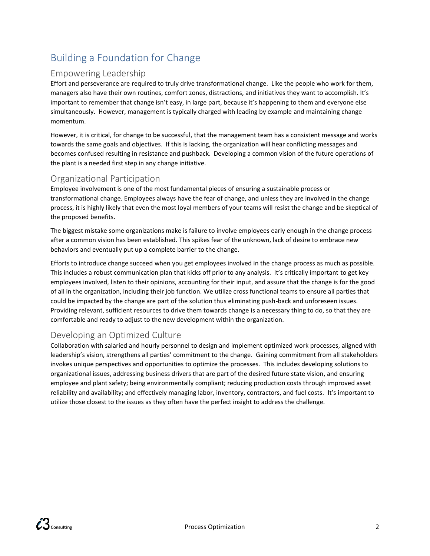# Building a Foundation for Change

#### Empowering Leadership

Effort and perseverance are required to truly drive transformational change. Like the people who work for them, managers also have their own routines, comfort zones, distractions, and initiatives they want to accomplish. It's important to remember that change isn't easy, in large part, because it's happening to them and everyone else simultaneously. However, management is typically charged with leading by example and maintaining change momentum.

However, it is critical, for change to be successful, that the management team has a consistent message and works towards the same goals and objectives. If this is lacking, the organization will hear conflicting messages and becomes confused resulting in resistance and pushback. Developing a common vision of the future operations of the plant is a needed first step in any change initiative.

#### Organizational Participation

Employee involvement is one of the most fundamental pieces of ensuring a sustainable process or transformational change. Employees always have the fear of change, and unless they are involved in the change process, it is highly likely that even the most loyal members of your teams will resist the change and be skeptical of the proposed benefits.

The biggest mistake some organizations make is failure to involve employees early enough in the change process after a common vision has been established. This spikes fear of the unknown, lack of desire to embrace new behaviors and eventually put up a complete barrier to the change.

Efforts to introduce change succeed when you get employees involved in the change process as much as possible. This includes a robust communication plan that kicks off prior to any analysis. It's critically important to get key employees involved, listen to their opinions, accounting for their input, and assure that the change is for the good of all in the organization, including their job function. We utilize cross functional teams to ensure all parties that could be impacted by the change are part of the solution thus eliminating push-back and unforeseen issues. Providing relevant, sufficient resources to drive them towards change is a necessary thing to do, so that they are comfortable and ready to adjust to the new development within the organization.

#### Developing an Optimized Culture

Collaboration with salaried and hourly personnel to design and implement optimized work processes, aligned with leadership's vision, strengthens all parties' commitment to the change. Gaining commitment from all stakeholders invokes unique perspectives and opportunities to optimize the processes. This includes developing solutions to organizational issues, addressing business drivers that are part of the desired future state vision, and ensuring employee and plant safety; being environmentally compliant; reducing production costs through improved asset reliability and availability; and effectively managing labor, inventory, contractors, and fuel costs. It's important to utilize those closest to the issues as they often have the perfect insight to address the challenge.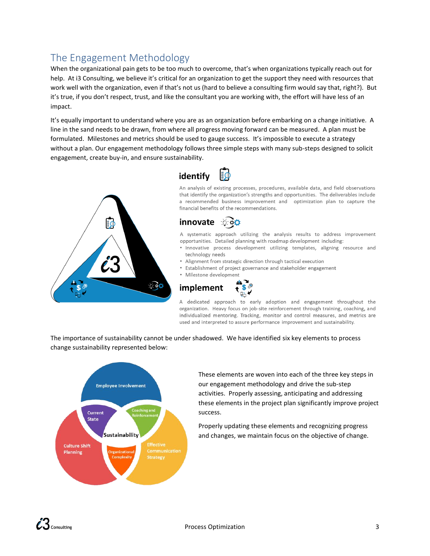# The Engagement Methodology

When the organizational pain gets to be too much to overcome, that's when organizations typically reach out for help. At i3 Consulting, we believe it's critical for an organization to get the support they need with resources that work well with the organization, even if that's not us (hard to believe a consulting firm would say that, right?). But it's true, if you don't respect, trust, and like the consultant you are working with, the effort will have less of an impact.

It's equally important to understand where you are as an organization before embarking on a change initiative. A line in the sand needs to be drawn, from where all progress moving forward can be measured. A plan must be formulated. Milestones and metrics should be used to gauge success. It's impossible to execute a strategy without a plan. Our engagement methodology follows three simple steps with many sub-steps designed to solicit engagement, create buy-in, and ensure sustainability.





An analysis of existing processes, procedures, available data, and field observations that identify the organization's strengths and opportunities. The deliverables include a recommended business improvement and optimization plan to capture the financial benefits of the recommendations.



A systematic approach utilizing the analysis results to address improvement opportunities. Detailed planning with roadmap development including:

- · Innovative process development utilizing templates, aligning resource and technology needs
- Alignment from strategic direction through tactical execution
- Establishment of project governance and stakeholder engagement
- · Milestone development



A dedicated approach to early adoption and engagement throughout the organization. Heavy focus on job-site reinforcement through training, coaching, and individualized mentoring. Tracking, monitor and control measures, and metrics are used and interpreted to assure performance improvement and sustainability.

The importance of sustainability cannot be under shadowed. We have identified six key elements to process change sustainability represented below:



These elements are woven into each of the three key steps in our engagement methodology and drive the sub-step activities. Properly assessing, anticipating and addressing these elements in the project plan significantly improve project success.

Properly updating these elements and recognizing progress and changes, we maintain focus on the objective of change.